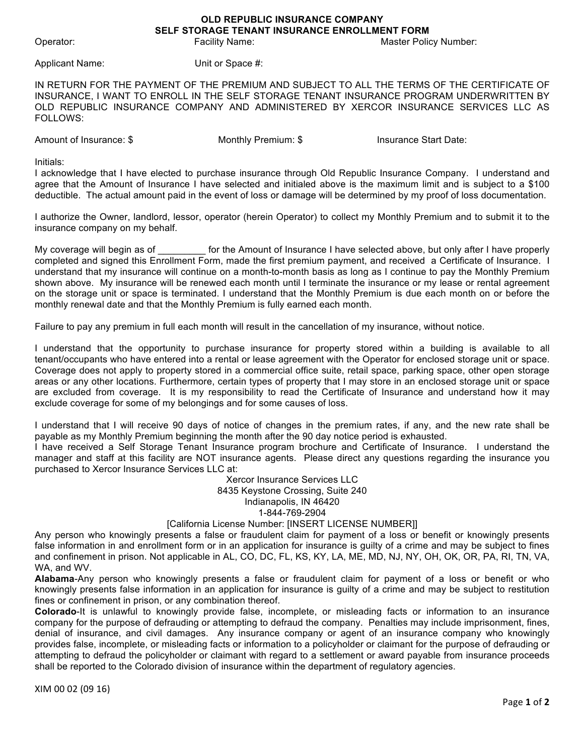## **OLD REPUBLIC INSURANCE COMPANY SELF STORAGE TENANT INSURANCE ENROLLMENT FORM**

Operator: Facility Name: Master Policy Number:

Applicant Name: Unit or Space #:

IN RETURN FOR THE PAYMENT OF THE PREMIUM AND SUBJECT TO ALL THE TERMS OF THE CERTIFICATE OF INSURANCE, I WANT TO ENROLL IN THE SELF STORAGE TENANT INSURANCE PROGRAM UNDERWRITTEN BY OLD REPUBLIC INSURANCE COMPANY AND ADMINISTERED BY XERCOR INSURANCE SERVICES LLC AS FOLLOWS:

Amount of Insurance: \$ Monthly Premium: \$ Insurance Start Date:

Initials:

I acknowledge that I have elected to purchase insurance through Old Republic Insurance Company. I understand and agree that the Amount of Insurance I have selected and initialed above is the maximum limit and is subject to a \$100 deductible. The actual amount paid in the event of loss or damage will be determined by my proof of loss documentation.

I authorize the Owner, landlord, lessor, operator (herein Operator) to collect my Monthly Premium and to submit it to the insurance company on my behalf.

My coverage will begin as of electrom for the Amount of Insurance I have selected above, but only after I have properly completed and signed this Enrollment Form, made the first premium payment, and received a Certificate of Insurance. I understand that my insurance will continue on a month-to-month basis as long as I continue to pay the Monthly Premium shown above. My insurance will be renewed each month until I terminate the insurance or my lease or rental agreement on the storage unit or space is terminated. I understand that the Monthly Premium is due each month on or before the monthly renewal date and that the Monthly Premium is fully earned each month.

Failure to pay any premium in full each month will result in the cancellation of my insurance, without notice.

I understand that the opportunity to purchase insurance for property stored within a building is available to all tenant/occupants who have entered into a rental or lease agreement with the Operator for enclosed storage unit or space. Coverage does not apply to property stored in a commercial office suite, retail space, parking space, other open storage areas or any other locations. Furthermore, certain types of property that I may store in an enclosed storage unit or space are excluded from coverage. It is my responsibility to read the Certificate of Insurance and understand how it may exclude coverage for some of my belongings and for some causes of loss.

I understand that I will receive 90 days of notice of changes in the premium rates, if any, and the new rate shall be payable as my Monthly Premium beginning the month after the 90 day notice period is exhausted.

I have received a Self Storage Tenant Insurance program brochure and Certificate of Insurance. I understand the manager and staff at this facility are NOT insurance agents. Please direct any questions regarding the insurance you purchased to Xercor Insurance Services LLC at:

> Xercor Insurance Services LLC 8435 Keystone Crossing, Suite 240 Indianapolis, IN 46420 1-844-769-2904

## [California License Number: [INSERT LICENSE NUMBER]]

Any person who knowingly presents a false or fraudulent claim for payment of a loss or benefit or knowingly presents false information in and enrollment form or in an application for insurance is guilty of a crime and may be subject to fines and confinement in prison. Not applicable in AL, CO, DC, FL, KS, KY, LA, ME, MD, NJ, NY, OH, OK, OR, PA, RI, TN, VA, WA, and WV.

**Alabama**-Any person who knowingly presents a false or fraudulent claim for payment of a loss or benefit or who knowingly presents false information in an application for insurance is guilty of a crime and may be subject to restitution fines or confinement in prison, or any combination thereof.

**Colorado**-It is unlawful to knowingly provide false, incomplete, or misleading facts or information to an insurance company for the purpose of defrauding or attempting to defraud the company. Penalties may include imprisonment, fines, denial of insurance, and civil damages. Any insurance company or agent of an insurance company who knowingly provides false, incomplete, or misleading facts or information to a policyholder or claimant for the purpose of defrauding or attempting to defraud the policyholder or claimant with regard to a settlement or award payable from insurance proceeds shall be reported to the Colorado division of insurance within the department of regulatory agencies.